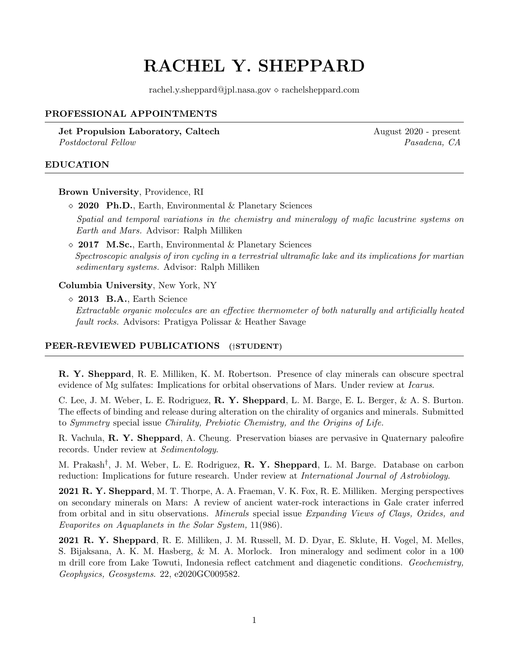# RACHEL Y. SHEPPARD

rachel.y.sheppard@jpl.nasa.gov  $\diamond$  rachelsheppard.com

## PROFESSIONAL APPOINTMENTS

**Jet Propulsion Laboratory, Caltech August 2020 - present August 2020 - present** Postdoctoral Fellow Pasadena, CA

#### EDUCATION

Brown University, Providence, RI

2020 Ph.D., Earth, Environmental & Planetary Sciences

Spatial and temporal variations in the chemistry and mineralogy of mafic lacustrine systems on Earth and Mars. Advisor: Ralph Milliken

 $\Diamond$  2017 M.Sc., Earth, Environmental & Planetary Sciences Spectroscopic analysis of iron cycling in a terrestrial ultramafic lake and its implications for martian sedimentary systems. Advisor: Ralph Milliken

Columbia University, New York, NY

 $\Diamond$  2013 B.A., Earth Science Extractable organic molecules are an effective thermometer of both naturally and artificially heated fault rocks. Advisors: Pratigya Polissar & Heather Savage

#### PEER-REVIEWED PUBLICATIONS (†STUDENT)

R. Y. Sheppard, R. E. Milliken, K. M. Robertson. Presence of clay minerals can obscure spectral evidence of Mg sulfates: Implications for orbital observations of Mars. Under review at Icarus.

C. Lee, J. M. Weber, L. E. Rodriguez, R. Y. Sheppard, L. M. Barge, E. L. Berger, & A. S. Burton. The effects of binding and release during alteration on the chirality of organics and minerals. Submitted to Symmetry special issue Chirality, Prebiotic Chemistry, and the Origins of Life.

R. Vachula, R. Y. Sheppard, A. Cheung. Preservation biases are pervasive in Quaternary paleofire records. Under review at Sedimentology.

M. Prakash<sup>†</sup>, J. M. Weber, L. E. Rodriguez, **R. Y. Sheppard**, L. M. Barge. Database on carbon reduction: Implications for future research. Under review at International Journal of Astrobiology.

2021 R. Y. Sheppard, M. T. Thorpe, A. A. Fraeman, V. K. Fox, R. E. Milliken. Merging perspectives on secondary minerals on Mars: A review of ancient water-rock interactions in Gale crater inferred from orbital and in situ observations. Minerals special issue Expanding Views of Clays, Oxides, and Evaporites on Aquaplanets in the Solar System, 11(986).

2021 R. Y. Sheppard, R. E. Milliken, J. M. Russell, M. D. Dyar, E. Sklute, H. Vogel, M. Melles, S. Bijaksana, A. K. M. Hasberg, & M. A. Morlock. Iron mineralogy and sediment color in a 100 m drill core from Lake Towuti, Indonesia reflect catchment and diagenetic conditions. Geochemistry, Geophysics, Geosystems. 22, e2020GC009582.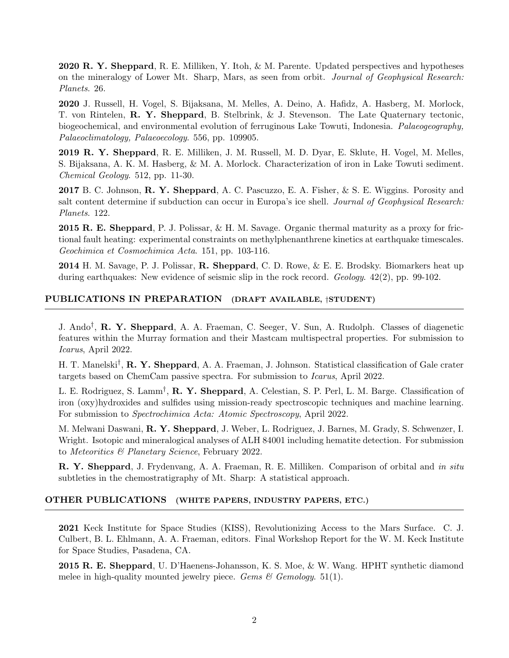2020 R. Y. Sheppard, R. E. Milliken, Y. Itoh, & M. Parente. Updated perspectives and hypotheses on the mineralogy of Lower Mt. Sharp, Mars, as seen from orbit. Journal of Geophysical Research: Planets. 26.

2020 J. Russell, H. Vogel, S. Bijaksana, M. Melles, A. Deino, A. Hafidz, A. Hasberg, M. Morlock, T. von Rintelen, R. Y. Sheppard, B. Stelbrink, & J. Stevenson. The Late Quaternary tectonic, biogeochemical, and environmental evolution of ferruginous Lake Towuti, Indonesia. Palaeogeography, Palaeoclimatology, Palaeoecology. 556, pp. 109905.

2019 R. Y. Sheppard, R. E. Milliken, J. M. Russell, M. D. Dyar, E. Sklute, H. Vogel, M. Melles, S. Bijaksana, A. K. M. Hasberg, & M. A. Morlock. Characterization of iron in Lake Towuti sediment. Chemical Geology. 512, pp. 11-30.

2017 B. C. Johnson, **R. Y. Sheppard**, A. C. Pascuzzo, E. A. Fisher, & S. E. Wiggins. Porosity and salt content determine if subduction can occur in Europa's ice shell. Journal of Geophysical Research: Planets. 122.

2015 R. E. Sheppard, P. J. Polissar, & H. M. Savage. Organic thermal maturity as a proxy for frictional fault heating: experimental constraints on methylphenanthrene kinetics at earthquake timescales. Geochimica et Cosmochimica Acta. 151, pp. 103-116.

2014 H. M. Savage, P. J. Polissar, R. Sheppard, C. D. Rowe, & E. E. Brodsky. Biomarkers heat up during earthquakes: New evidence of seismic slip in the rock record. Geology. 42(2), pp. 99-102.

## PUBLICATIONS IN PREPARATION (DRAFT AVAILABLE, †STUDENT)

J. Ando<sup>†</sup>, **R. Y. Sheppard**, A. A. Fraeman, C. Seeger, V. Sun, A. Rudolph. Classes of diagenetic features within the Murray formation and their Mastcam multispectral properties. For submission to Icarus, April 2022.

H. T. Manelski<sup>†</sup>, **R. Y. Sheppard**, A. A. Fraeman, J. Johnson. Statistical classification of Gale crater targets based on ChemCam passive spectra. For submission to Icarus, April 2022.

L. E. Rodriguez, S. Lamm<sup>†</sup>, **R. Y. Sheppard**, A. Celestian, S. P. Perl, L. M. Barge. Classification of iron (oxy)hydroxides and sulfides using mission-ready spectroscopic techniques and machine learning. For submission to Spectrochimica Acta: Atomic Spectroscopy, April 2022.

M. Melwani Daswani, R. Y. Sheppard, J. Weber, L. Rodriguez, J. Barnes, M. Grady, S. Schwenzer, I. Wright. Isotopic and mineralogical analyses of ALH 84001 including hematite detection. For submission to Meteoritics & Planetary Science, February 2022.

R. Y. Sheppard, J. Frydenvang, A. A. Fraeman, R. E. Milliken. Comparison of orbital and in situ subtleties in the chemostratigraphy of Mt. Sharp: A statistical approach.

#### OTHER PUBLICATIONS (WHITE PAPERS, INDUSTRY PAPERS, ETC.)

2021 Keck Institute for Space Studies (KISS), Revolutionizing Access to the Mars Surface. C. J. Culbert, B. L. Ehlmann, A. A. Fraeman, editors. Final Workshop Report for the W. M. Keck Institute for Space Studies, Pasadena, CA.

2015 R. E. Sheppard, U. D'Haenens-Johansson, K. S. Moe, & W. Wang. HPHT synthetic diamond melee in high-quality mounted jewelry piece. Gems  $\mathcal C$  Gemology. 51(1).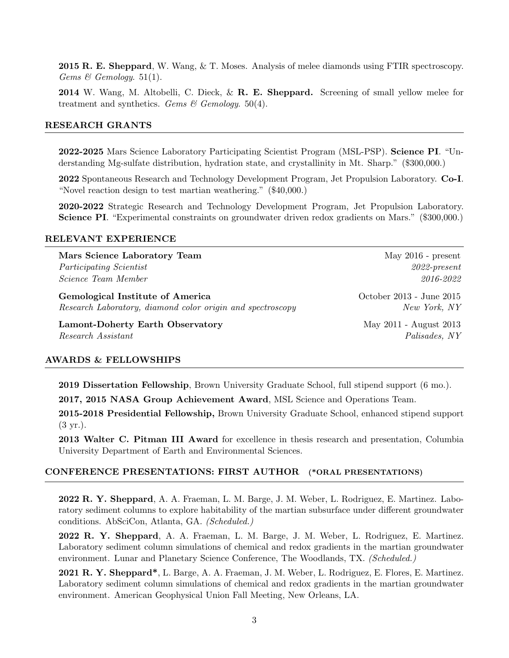2015 R. E. Sheppard, W. Wang, & T. Moses. Analysis of melee diamonds using FTIR spectroscopy. Gems & Gemology. 51(1).

2014 W. Wang, M. Altobelli, C. Dieck, & R. E. Sheppard. Screening of small yellow melee for treatment and synthetics. Gems & Gemology. 50(4).

#### RESEARCH GRANTS

2022-2025 Mars Science Laboratory Participating Scientist Program (MSL-PSP). Science PI. "Understanding Mg-sulfate distribution, hydration state, and crystallinity in Mt. Sharp." (\$300,000.)

2022 Spontaneous Research and Technology Development Program, Jet Propulsion Laboratory. Co-I. "Novel reaction design to test martian weathering." (\$40,000.)

2020-2022 Strategic Research and Technology Development Program, Jet Propulsion Laboratory. Science PI. "Experimental constraints on groundwater driven redox gradients on Mars." (\$300,000.)

#### RELEVANT EXPERIENCE

Mars Science Laboratory Team May 2016 - present Participating Scientist 2022-present Science Team Member 2016-2022 Gemological Institute of America Cerricus Correspondent Correspondent Correspondent Correspondent October 2013 - June 2015 Research Laboratory, diamond color origin and spectroscopy New York, NY Lamont-Doherty Earth Observatory **May 2011** - August 2013 Research Assistant  $Palsades, NY$ 

#### AWARDS & FELLOWSHIPS

2019 Dissertation Fellowship, Brown University Graduate School, full stipend support (6 mo.).

2017, 2015 NASA Group Achievement Award, MSL Science and Operations Team.

2015-2018 Presidential Fellowship, Brown University Graduate School, enhanced stipend support (3 yr.).

2013 Walter C. Pitman III Award for excellence in thesis research and presentation, Columbia University Department of Earth and Environmental Sciences.

#### CONFERENCE PRESENTATIONS: FIRST AUTHOR (\*ORAL PRESENTATIONS)

2022 R. Y. Sheppard, A. A. Fraeman, L. M. Barge, J. M. Weber, L. Rodriguez, E. Martinez. Laboratory sediment columns to explore habitability of the martian subsurface under different groundwater conditions. AbSciCon, Atlanta, GA. (Scheduled.)

2022 R. Y. Sheppard, A. A. Fraeman, L. M. Barge, J. M. Weber, L. Rodriguez, E. Martinez. Laboratory sediment column simulations of chemical and redox gradients in the martian groundwater environment. Lunar and Planetary Science Conference, The Woodlands, TX. *(Scheduled.)* 

2021 R. Y. Sheppard\*, L. Barge, A. A. Fraeman, J. M. Weber, L. Rodriguez, E. Flores, E. Martinez. Laboratory sediment column simulations of chemical and redox gradients in the martian groundwater environment. American Geophysical Union Fall Meeting, New Orleans, LA.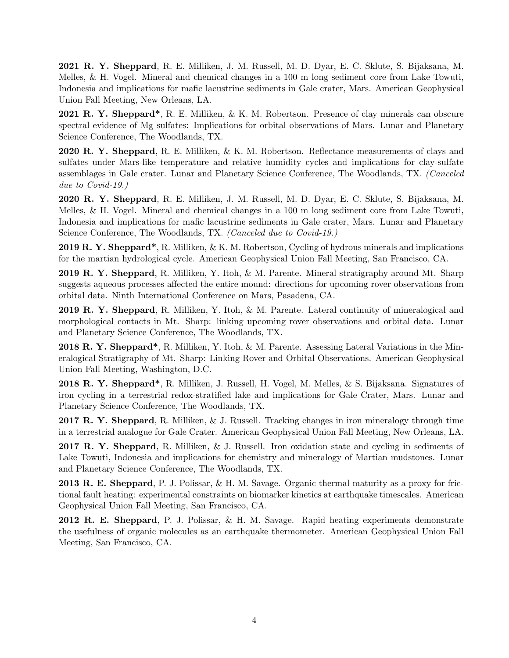2021 R. Y. Sheppard, R. E. Milliken, J. M. Russell, M. D. Dyar, E. C. Sklute, S. Bijaksana, M. Melles, & H. Vogel. Mineral and chemical changes in a 100 m long sediment core from Lake Towuti, Indonesia and implications for mafic lacustrine sediments in Gale crater, Mars. American Geophysical Union Fall Meeting, New Orleans, LA.

2021 R. Y. Sheppard\*, R. E. Milliken, & K. M. Robertson. Presence of clay minerals can obscure spectral evidence of Mg sulfates: Implications for orbital observations of Mars. Lunar and Planetary Science Conference, The Woodlands, TX.

2020 R. Y. Sheppard, R. E. Milliken, & K. M. Robertson. Reflectance measurements of clays and sulfates under Mars-like temperature and relative humidity cycles and implications for clay-sulfate assemblages in Gale crater. Lunar and Planetary Science Conference, The Woodlands, TX. (Canceled due to Covid-19.)

2020 R. Y. Sheppard, R. E. Milliken, J. M. Russell, M. D. Dyar, E. C. Sklute, S. Bijaksana, M. Melles, & H. Vogel. Mineral and chemical changes in a 100 m long sediment core from Lake Towuti, Indonesia and implications for mafic lacustrine sediments in Gale crater, Mars. Lunar and Planetary Science Conference, The Woodlands, TX. (Canceled due to Covid-19.)

**2019 R. Y. Sheppard\***, R. Milliken,  $\&$  K. M. Robertson, Cycling of hydrous minerals and implications for the martian hydrological cycle. American Geophysical Union Fall Meeting, San Francisco, CA.

2019 R. Y. Sheppard, R. Milliken, Y. Itoh, & M. Parente. Mineral stratigraphy around Mt. Sharp suggests aqueous processes affected the entire mound: directions for upcoming rover observations from orbital data. Ninth International Conference on Mars, Pasadena, CA.

2019 R. Y. Sheppard, R. Milliken, Y. Itoh, & M. Parente. Lateral continuity of mineralogical and morphological contacts in Mt. Sharp: linking upcoming rover observations and orbital data. Lunar and Planetary Science Conference, The Woodlands, TX.

2018 R. Y. Sheppard\*, R. Milliken, Y. Itoh, & M. Parente. Assessing Lateral Variations in the Mineralogical Stratigraphy of Mt. Sharp: Linking Rover and Orbital Observations. American Geophysical Union Fall Meeting, Washington, D.C.

2018 R. Y. Sheppard\*, R. Milliken, J. Russell, H. Vogel, M. Melles, & S. Bijaksana. Signatures of iron cycling in a terrestrial redox-stratified lake and implications for Gale Crater, Mars. Lunar and Planetary Science Conference, The Woodlands, TX.

2017 R. Y. Sheppard, R. Milliken, & J. Russell. Tracking changes in iron mineralogy through time in a terrestrial analogue for Gale Crater. American Geophysical Union Fall Meeting, New Orleans, LA.

2017 R. Y. Sheppard, R. Milliken, & J. Russell. Iron oxidation state and cycling in sediments of Lake Towuti, Indonesia and implications for chemistry and mineralogy of Martian mudstones. Lunar and Planetary Science Conference, The Woodlands, TX.

2013 R. E. Sheppard, P. J. Polissar, & H. M. Savage. Organic thermal maturity as a proxy for frictional fault heating: experimental constraints on biomarker kinetics at earthquake timescales. American Geophysical Union Fall Meeting, San Francisco, CA.

2012 R. E. Sheppard, P. J. Polissar, & H. M. Savage. Rapid heating experiments demonstrate the usefulness of organic molecules as an earthquake thermometer. American Geophysical Union Fall Meeting, San Francisco, CA.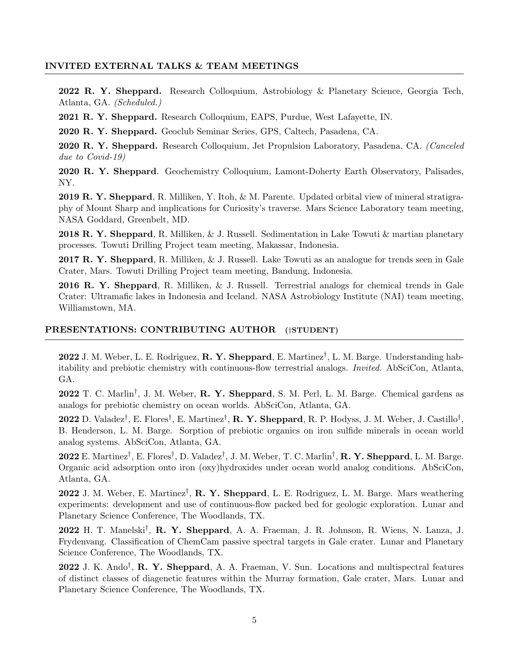### INVITED EXTERNAL TALKS & TEAM MEETINGS

2022 R. Y. Sheppard. Research Colloquium, Astrobiology & Planetary Science, Georgia Tech, Atlanta, GA. (Scheduled.)

2021 R. Y. Sheppard. Research Colloquium, EAPS, Purdue, West Lafayette, IN.

2020 R. Y. Sheppard. Geoclub Seminar Series, GPS, Caltech, Pasadena, CA.

2020 R. Y. Sheppard. Research Colloquium, Jet Propulsion Laboratory, Pasadena, CA. (Canceled due to Covid-19)

2020 R. Y. Sheppard. Geochemistry Colloquium, Lamont-Doherty Earth Observatory, Palisades, NY.

2019 R. Y. Sheppard, R. Milliken, Y. Itoh, & M. Parente. Updated orbital view of mineral stratigraphy of Mount Sharp and implications for Curiosity's traverse. Mars Science Laboratory team meeting, NASA Goddard, Greenbelt, MD.

2018 R. Y. Sheppard, R. Milliken, & J. Russell. Sedimentation in Lake Towuti & martian planetary processes. Towuti Drilling Project team meeting, Makassar, Indonesia.

2017 R. Y. Sheppard, R. Milliken, & J. Russell. Lake Towuti as an analogue for trends seen in Gale Crater, Mars. Towuti Drilling Project team meeting, Bandung, Indonesia.

2016 R. Y. Sheppard, R. Milliken, & J. Russell. Terrestrial analogs for chemical trends in Gale Crater: Ultramafic lakes in Indonesia and Iceland. NASA Astrobiology Institute (NAI) team meeting, Williamstown, MA.

## PRESENTATIONS: CONTRIBUTING AUTHOR (†STUDENT)

2022 J. M. Weber, L. E. Rodriguez, R. Y. Sheppard, E. Martinez<sup>†</sup>, L. M. Barge. Understanding habitability and prebiotic chemistry with continuous-flow terrestrial analogs. Invited. AbSciCon, Atlanta, GA.

2022 T. C. Marlin<sup>†</sup>, J. M. Weber, R. Y. Sheppard, S. M. Perl, L. M. Barge. Chemical gardens as analogs for prebiotic chemistry on ocean worlds. AbSciCon, Atlanta, GA.

2022 D. Valadez<sup>†</sup>, E. Flores<sup>†</sup>, E. Martinez<sup>†</sup>, **R. Y. Sheppard**, R. P. Hodyss, J. M. Weber, J. Castillo<sup>†</sup>, B. Henderson, L. M. Barge. Sorption of prebiotic organics on iron sulfide minerals in ocean world analog systems. AbSciCon, Atlanta, GA.

2022 E. Martinez<sup>†</sup>, E. Flores<sup>†</sup>, D. Valadez<sup>†</sup>, J. M. Weber, T. C. Marlin<sup>†</sup>, **R. Y. Sheppard**, L. M. Barge. Organic acid adsorption onto iron (oxy)hydroxides under ocean world analog conditions. AbSciCon, Atlanta, GA.

2022 J. M. Weber, E. Martinez<sup>†</sup>, **R. Y. Sheppard**, L. E. Rodriguez, L. M. Barge. Mars weathering experiments: development and use of continuous-flow packed bed for geologic exploration. Lunar and Planetary Science Conference, The Woodlands, TX.

2022 H. T. Manelski† , R. Y. Sheppard, A. A. Fraeman, J. R. Johnson, R. Wiens, N. Lanza, J. Frydenvang. Classification of ChemCam passive spectral targets in Gale crater. Lunar and Planetary Science Conference, The Woodlands, TX.

2022 J. K. Ando<sup>†</sup>, **R. Y. Sheppard**, A. A. Fraeman, V. Sun. Locations and multispectral features of distinct classes of diagenetic features within the Murray formation, Gale crater, Mars. Lunar and Planetary Science Conference, The Woodlands, TX.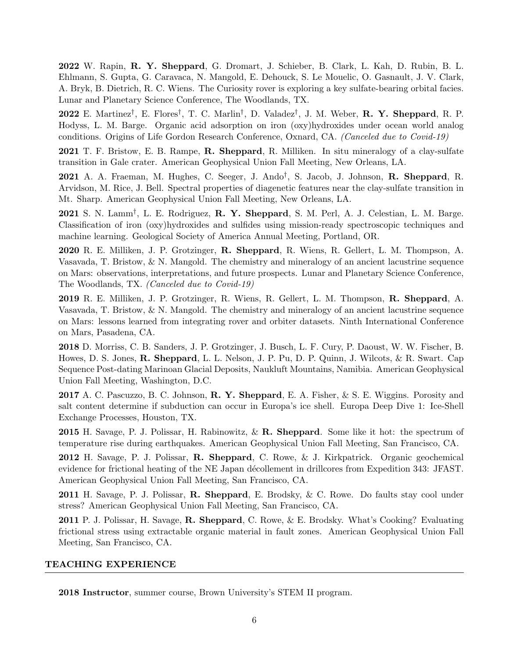2022 W. Rapin, R. Y. Sheppard, G. Dromart, J. Schieber, B. Clark, L. Kah, D. Rubin, B. L. Ehlmann, S. Gupta, G. Caravaca, N. Mangold, E. Dehouck, S. Le Mouelic, O. Gasnault, J. V. Clark, A. Bryk, B. Dietrich, R. C. Wiens. The Curiosity rover is exploring a key sulfate-bearing orbital facies. Lunar and Planetary Science Conference, The Woodlands, TX.

2022 E. Martinez<sup>†</sup>, E. Flores<sup>†</sup>, T. C. Marlin<sup>†</sup>, D. Valadez<sup>†</sup>, J. M. Weber, **R. Y. Sheppard**, R. P. Hodyss, L. M. Barge. Organic acid adsorption on iron (oxy)hydroxides under ocean world analog conditions. Origins of Life Gordon Research Conference, Oxnard, CA. (Canceled due to Covid-19)

2021 T. F. Bristow, E. B. Rampe, R. Sheppard, R. Milliken. In situ mineralogy of a clay-sulfate transition in Gale crater. American Geophysical Union Fall Meeting, New Orleans, LA.

2021 A. A. Fraeman, M. Hughes, C. Seeger, J. Ando<sup>†</sup>, S. Jacob, J. Johnson, **R. Sheppard**, R. Arvidson, M. Rice, J. Bell. Spectral properties of diagenetic features near the clay-sulfate transition in Mt. Sharp. American Geophysical Union Fall Meeting, New Orleans, LA.

2021 S. N. Lamm<sup>†</sup>, L. E. Rodriguez, R. Y. Sheppard, S. M. Perl, A. J. Celestian, L. M. Barge. Classification of iron (oxy)hydroxides and sulfides using mission-ready spectroscopic techniques and machine learning. Geological Society of America Annual Meeting, Portland, OR.

2020 R. E. Milliken, J. P. Grotzinger, R. Sheppard, R. Wiens, R. Gellert, L. M. Thompson, A. Vasavada, T. Bristow, & N. Mangold. The chemistry and mineralogy of an ancient lacustrine sequence on Mars: observations, interpretations, and future prospects. Lunar and Planetary Science Conference, The Woodlands, TX. (Canceled due to Covid-19)

2019 R. E. Milliken, J. P. Grotzinger, R. Wiens, R. Gellert, L. M. Thompson, R. Sheppard, A. Vasavada, T. Bristow, & N. Mangold. The chemistry and mineralogy of an ancient lacustrine sequence on Mars: lessons learned from integrating rover and orbiter datasets. Ninth International Conference on Mars, Pasadena, CA.

2018 D. Morriss, C. B. Sanders, J. P. Grotzinger, J. Busch, L. F. Cury, P. Daoust, W. W. Fischer, B. Howes, D. S. Jones, R. Sheppard, L. L. Nelson, J. P. Pu, D. P. Quinn, J. Wilcots, & R. Swart. Cap Sequence Post-dating Marinoan Glacial Deposits, Naukluft Mountains, Namibia. American Geophysical Union Fall Meeting, Washington, D.C.

2017 A. C. Pascuzzo, B. C. Johnson, R. Y. Sheppard, E. A. Fisher, & S. E. Wiggins. Porosity and salt content determine if subduction can occur in Europa's ice shell. Europa Deep Dive 1: Ice-Shell Exchange Processes, Houston, TX.

**2015** H. Savage, P. J. Polissar, H. Rabinowitz,  $\&\mathbf{R}$ . Sheppard. Some like it hot: the spectrum of temperature rise during earthquakes. American Geophysical Union Fall Meeting, San Francisco, CA.

2012 H. Savage, P. J. Polissar, R. Sheppard, C. Rowe, & J. Kirkpatrick. Organic geochemical evidence for frictional heating of the NE Japan décollement in drillcores from Expedition 343: JFAST. American Geophysical Union Fall Meeting, San Francisco, CA.

2011 H. Savage, P. J. Polissar, R. Sheppard, E. Brodsky, & C. Rowe. Do faults stay cool under stress? American Geophysical Union Fall Meeting, San Francisco, CA.

2011 P. J. Polissar, H. Savage, R. Sheppard, C. Rowe, & E. Brodsky. What's Cooking? Evaluating frictional stress using extractable organic material in fault zones. American Geophysical Union Fall Meeting, San Francisco, CA.

### TEACHING EXPERIENCE

2018 Instructor, summer course, Brown University's STEM II program.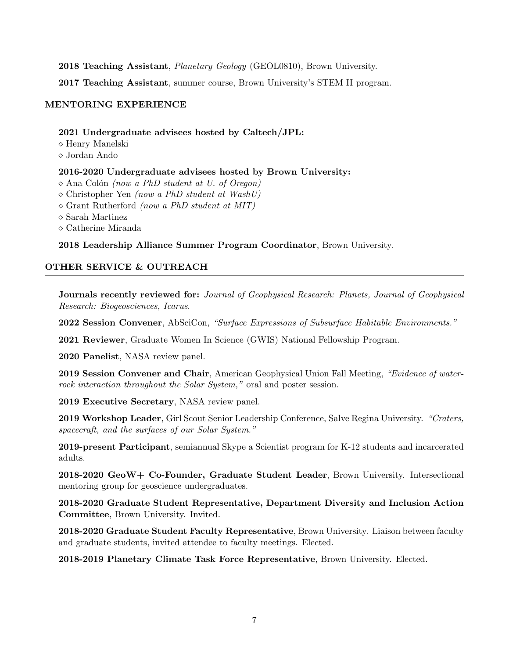2018 Teaching Assistant, Planetary Geology (GEOL0810), Brown University.

2017 Teaching Assistant, summer course, Brown University's STEM II program.

## MENTORING EXPERIENCE

### 2021 Undergraduate advisees hosted by Caltech/JPL:

 $\diamond$  Henry Manelski

Jordan Ando

## 2016-2020 Undergraduate advisees hosted by Brown University:

 $\Diamond$  Ana Colón (now a PhD student at U. of Oregon)

 $\Diamond$  Christopher Yen (now a PhD student at WashU)

 $\Diamond$  Grant Rutherford *(now a PhD student at MIT)* 

 $\diamond$  Sarah Martinez

 $\diamond$  Catherine Miranda

2018 Leadership Alliance Summer Program Coordinator, Brown University.

# OTHER SERVICE & OUTREACH

Journals recently reviewed for: Journal of Geophysical Research: Planets, Journal of Geophysical Research: Biogeosciences, Icarus.

2022 Session Convener, AbSciCon, "Surface Expressions of Subsurface Habitable Environments."

2021 Reviewer, Graduate Women In Science (GWIS) National Fellowship Program.

2020 Panelist, NASA review panel.

2019 Session Convener and Chair, American Geophysical Union Fall Meeting, "Evidence of waterrock interaction throughout the Solar System," oral and poster session.

2019 Executive Secretary, NASA review panel.

2019 Workshop Leader, Girl Scout Senior Leadership Conference, Salve Regina University. "Craters, spacecraft, and the surfaces of our Solar System."

2019-present Participant, semiannual Skype a Scientist program for K-12 students and incarcerated adults.

2018-2020 GeoW+ Co-Founder, Graduate Student Leader, Brown University. Intersectional mentoring group for geoscience undergraduates.

2018-2020 Graduate Student Representative, Department Diversity and Inclusion Action Committee, Brown University. Invited.

2018-2020 Graduate Student Faculty Representative, Brown University. Liaison between faculty and graduate students, invited attendee to faculty meetings. Elected.

2018-2019 Planetary Climate Task Force Representative, Brown University. Elected.